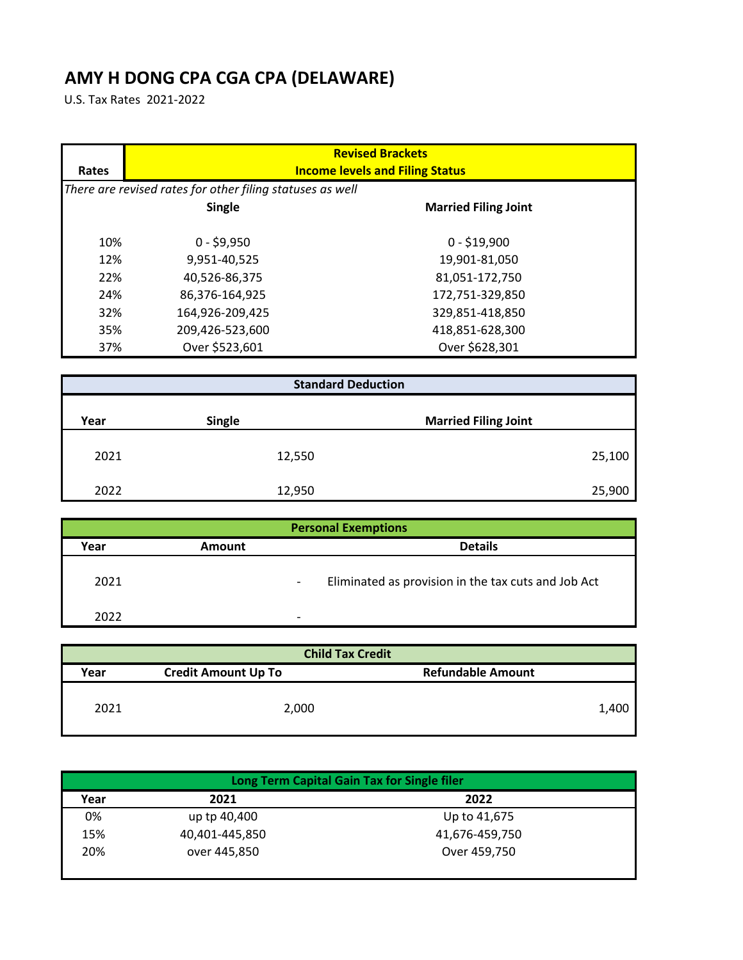## **AMY H DONG CPA CGA CPA (DELAWARE)**

U.S. Tax Rates 2021-2022

| Rates | <b>Revised Brackets</b><br><b>Income levels and Filing Status</b> |                             |  |
|-------|-------------------------------------------------------------------|-----------------------------|--|
|       | There are revised rates for other filing statuses as well         |                             |  |
|       | Single                                                            | <b>Married Filing Joint</b> |  |
| 10%   | $0 - $9,950$                                                      | $0 - $19,900$               |  |
| 12%   | 9,951-40,525                                                      | 19,901-81,050               |  |
| 22%   | 40,526-86,375                                                     | 81,051-172,750              |  |
| 24%   | 86.376-164.925                                                    | 172,751-329,850             |  |
| 32%   | 164,926-209,425                                                   | 329,851-418,850             |  |
| 35%   | 209,426-523,600                                                   | 418,851-628,300             |  |
| 37%   | Over \$523,601                                                    | Over \$628,301              |  |

| <b>Standard Deduction</b> |               |                             |
|---------------------------|---------------|-----------------------------|
| Year                      | <b>Single</b> | <b>Married Filing Joint</b> |
| 2021                      | 12,550        | 25,100                      |
| 2022                      | 12,950        | 25,900                      |

| <b>Personal Exemptions</b> |               |                                                     |
|----------------------------|---------------|-----------------------------------------------------|
| Year                       | <b>Amount</b> | <b>Details</b>                                      |
| 2021                       |               | Eliminated as provision in the tax cuts and Job Act |
| 2022                       |               | -                                                   |

| <b>Child Tax Credit</b> |                            |                          |
|-------------------------|----------------------------|--------------------------|
| Year                    | <b>Credit Amount Up To</b> | <b>Refundable Amount</b> |
| 2021                    | 2,000                      | 1,400                    |

| Long Term Capital Gain Tax for Single filer |                |                |  |
|---------------------------------------------|----------------|----------------|--|
| Year                                        | 2021           | 2022           |  |
| 0%                                          | up tp 40,400   | Up to 41,675   |  |
| 15%                                         | 40,401-445,850 | 41,676-459,750 |  |
| 20%                                         | over 445,850   | Over 459,750   |  |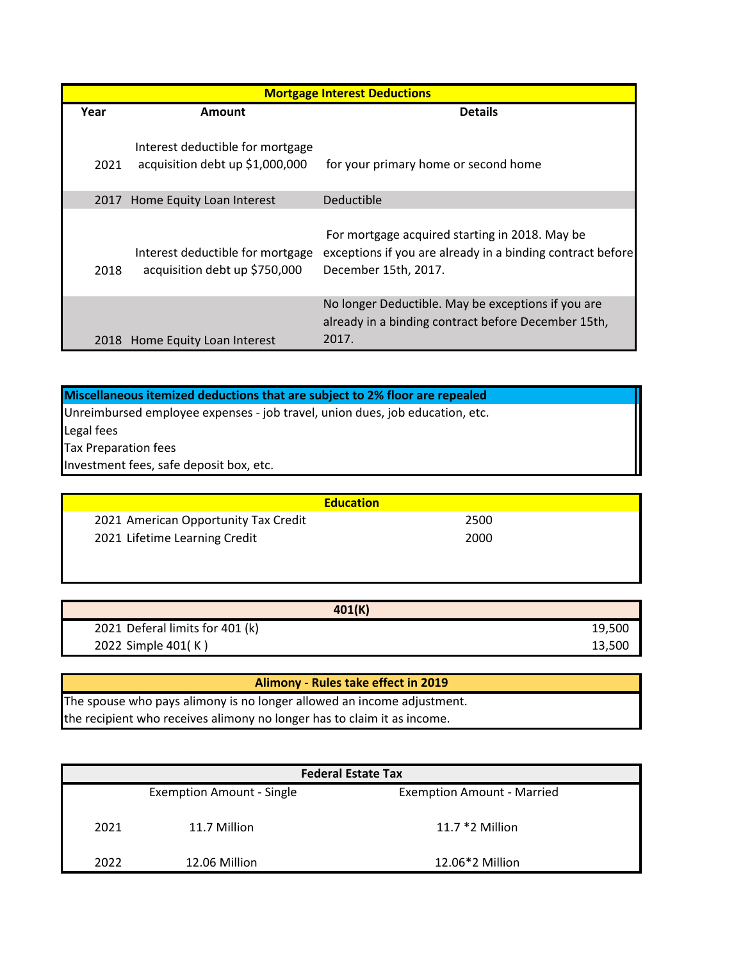| <b>Mortgage Interest Deductions</b> |                                                                     |                                                                                                                                      |  |
|-------------------------------------|---------------------------------------------------------------------|--------------------------------------------------------------------------------------------------------------------------------------|--|
| Year                                | Amount                                                              | <b>Details</b>                                                                                                                       |  |
| 2021                                | Interest deductible for mortgage<br>acquisition debt up \$1,000,000 | for your primary home or second home                                                                                                 |  |
| 2017                                | Home Equity Loan Interest                                           | Deductible                                                                                                                           |  |
| 2018                                | Interest deductible for mortgage<br>acquisition debt up \$750,000   | For mortgage acquired starting in 2018. May be<br>exceptions if you are already in a binding contract before<br>December 15th, 2017. |  |
|                                     | 2018 Home Equity Loan Interest                                      | No longer Deductible. May be exceptions if you are<br>already in a binding contract before December 15th,<br>2017.                   |  |

| Miscellaneous itemized deductions that are subject to 2% floor are repealed  |  |
|------------------------------------------------------------------------------|--|
| Unreimbursed employee expenses - job travel, union dues, job education, etc. |  |
| Legal fees                                                                   |  |
| <b>Tax Preparation fees</b>                                                  |  |
| Investment fees, safe deposit box, etc.                                      |  |

|                                      | <b>Education</b> |
|--------------------------------------|------------------|
| 2021 American Opportunity Tax Credit | 2500             |
| 2021 Lifetime Learning Credit        | 2000             |

| 401(K)                          |        |
|---------------------------------|--------|
| 2021 Deferal limits for 401 (k) | 19,500 |
| 2022 Simple 401(K)              | 13,500 |

| Alimony - Rules take effect in 2019                                     |
|-------------------------------------------------------------------------|
| The spouse who pays alimony is no longer allowed an income adjustment.  |
| the recipient who receives alimony no longer has to claim it as income. |

| <b>Federal Estate Tax</b> |                                  |                                   |
|---------------------------|----------------------------------|-----------------------------------|
|                           | <b>Exemption Amount - Single</b> | <b>Exemption Amount - Married</b> |
| 2021                      | 11.7 Million                     | 11.7 $*2$ Million                 |
| 2022                      | 12.06 Million                    | 12.06*2 Million                   |